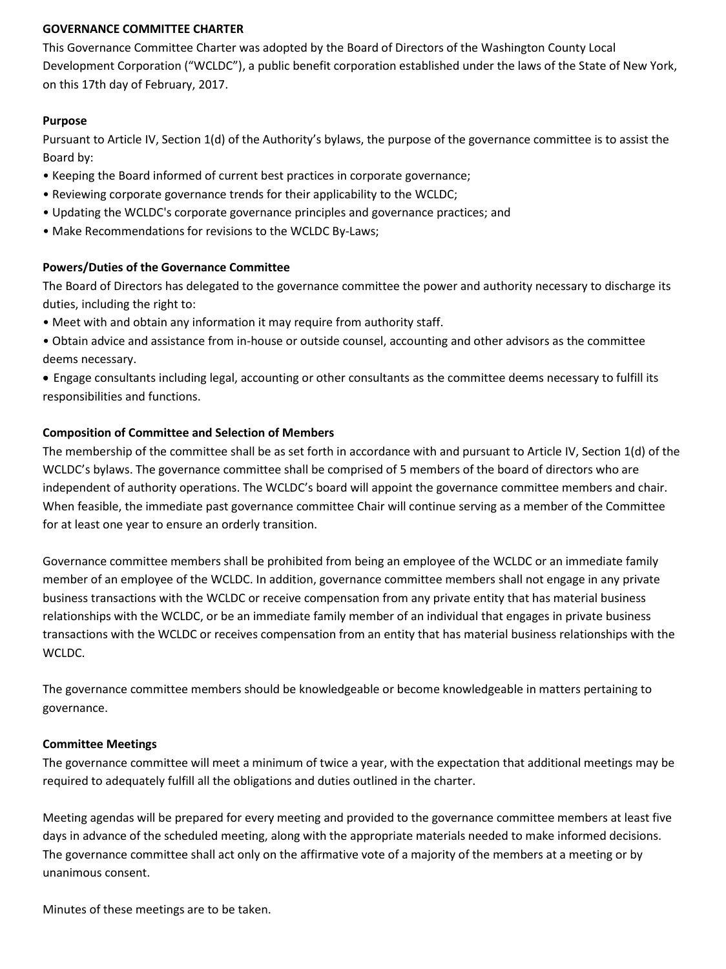## **GOVERNANCE COMMITTEE CHARTER**

This Governance Committee Charter was adopted by the Board of Directors of the Washington County Local Development Corporation ("WCLDC"), a public benefit corporation established under the laws of the State of New York, on this 17th day of February, 2017.

### **Purpose**

Pursuant to Article IV, Section 1(d) of the Authority's bylaws, the purpose of the governance committee is to assist the Board by:

- Keeping the Board informed of current best practices in corporate governance;
- Reviewing corporate governance trends for their applicability to the WCLDC;
- Updating the WCLDC's corporate governance principles and governance practices; and
- Make Recommendations for revisions to the WCLDC By-Laws;

### **Powers/Duties of the Governance Committee**

The Board of Directors has delegated to the governance committee the power and authority necessary to discharge its duties, including the right to:

- Meet with and obtain any information it may require from authority staff.
- Obtain advice and assistance from in-house or outside counsel, accounting and other advisors as the committee deems necessary.
- Engage consultants including legal, accounting or other consultants as the committee deems necessary to fulfill its responsibilities and functions.

### **Composition of Committee and Selection of Members**

The membership of the committee shall be as set forth in accordance with and pursuant to Article IV, Section 1(d) of the WCLDC's bylaws. The governance committee shall be comprised of 5 members of the board of directors who are independent of authority operations. The WCLDC's board will appoint the governance committee members and chair. When feasible, the immediate past governance committee Chair will continue serving as a member of the Committee for at least one year to ensure an orderly transition.

Governance committee members shall be prohibited from being an employee of the WCLDC or an immediate family member of an employee of the WCLDC. In addition, governance committee members shall not engage in any private business transactions with the WCLDC or receive compensation from any private entity that has material business relationships with the WCLDC, or be an immediate family member of an individual that engages in private business transactions with the WCLDC or receives compensation from an entity that has material business relationships with the WCLDC.

The governance committee members should be knowledgeable or become knowledgeable in matters pertaining to governance.

#### **Committee Meetings**

The governance committee will meet a minimum of twice a year, with the expectation that additional meetings may be required to adequately fulfill all the obligations and duties outlined in the charter.

Meeting agendas will be prepared for every meeting and provided to the governance committee members at least five days in advance of the scheduled meeting, along with the appropriate materials needed to make informed decisions. The governance committee shall act only on the affirmative vote of a majority of the members at a meeting or by unanimous consent.

Minutes of these meetings are to be taken.